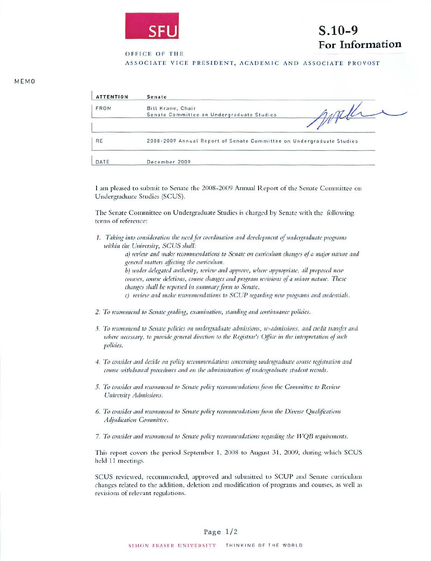

## $S.10-9$ For Information

OFFICE OF THE

ASSOCIATE VICE PRESIDENT, ACADEMIC AND ASSOCIATE PROVOST

| <b>ATTENTION</b> | Senate                                                               |
|------------------|----------------------------------------------------------------------|
| FROM             | Bill Krane, Chair<br>Senate Committee on Undergraduate Studies       |
| RE               | 2008-2009 Annual Report of Senate Committee on Undergraduate Studies |
| DATE             | December 2009                                                        |

I am pleased to submit to Senate the 2008-2009 Annual Report of the Senate Committee on Undergraduate Studies (SCUS).

The Senate Committee on Undergraduate Studies is charged by Senate with the following terms of reference:

1. Taking into consideration the need for coordination and development of undergraduate programs within the University, SCUS shall:

> a) review and make recommendations to Senate on curriculum changes of a major nature and general matters affecting the curriculum.

b) under delegated authority, review and approve, where appropriate, all proposed new courses, course deletions, course changes and program revisions of a minor nature. These changes shall be reported in summary form to Senate.

c) review and make recommendations to SCUP regarding new programs and credentials.

- 2. To recommend to Senate grading, examination, standing and continuance policies.
- 3. To recommend to Senate policies on undergraduate admissions, re-admissions, and credit transfer and where necessary, to provide general direction to the Registrar's Office in the interpretation of such policies.
- 4. To consider and decide on policy recommendations concerning undergraduate course registration and course withdrawal procedures and on the administration of undergraduate student records.
- 5. To consider and recommend to Senate policy recommendations from the Committee to Review University Admissions.
- 6. To consider and recommend to Senate policy recommendations from the Diverse Qualifications Adjudication Committee.
- 7. To consider and recommend to Senate policy recommendations regarding the WOB requirements.

This report covers the period September 1, 2008 to August 31, 2009, during which SCUS held 11 meetings.

SCUS reviewed, recommended, approved and submitted to SCUP and Senate curriculum changes related to the addition, deletion and modification of programs and courses, as well as revisions of relevant regulations.